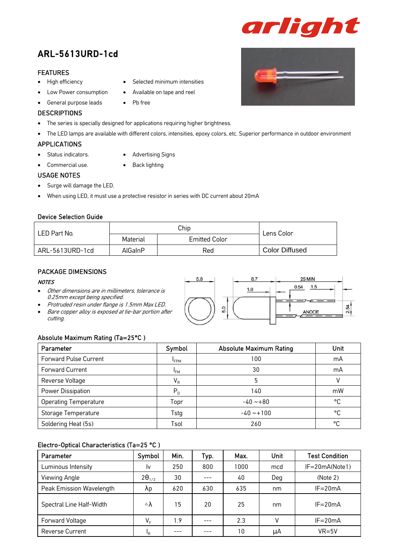# ARL-5613URD-1cd

#### FEATURES

- High efficiency
- Low Power consumption
- General purpose leads

#### **DESCRIPTIONS**

• The series is specially designed for applications requiring higher brightness.

• Pb free

• The LED lamps are available with different colors, intensities, epoxy colors, etc. Superior performance in outdoor environment

#### APPLICATIONS

- Status indicators.
- Commercial use.
- Advertising Signs

Selected minimum intensities

• Available on tape and reel

- 
- Back lighting

### USAGE NOTES

- Surge will damage the LED.
- When using LED, it must use a protective resistor in series with DC current about 20mA

#### Device Selection Guide

| LED Part No.    |          | Chip                 | Lens Color            |  |
|-----------------|----------|----------------------|-----------------------|--|
|                 | Material | <b>Emitted Color</b> |                       |  |
| ARL-5613URD-1cd | AlGaInP  | Red                  | <b>Color Diffused</b> |  |

#### PACKAGE DIMENSIONS

#### **NOTES**

- Other dimensions are in millimeters, tolerance is 0.25mm except being specified.
- Protruded resin under flange is 1.5mm Max LED.
- Bare copper alloy is exposed at tie-bar portion after cutting.

#### Absolute Maximum Rating (Ta=25°C )

| Parameter                    | Symbol          | <b>Absolute Maximum Rating</b> | Unit |
|------------------------------|-----------------|--------------------------------|------|
| <b>Forward Pulse Current</b> | <b>FPM</b>      | 100                            | mA   |
| Forward Current              | <sup>I</sup> FM | 30                             | mA   |
| Reverse Voltage              | $V_R$           | 5                              |      |
| Power Dissipation            | $P_{D}$         | 140                            | mW   |
| <b>Operating Temperature</b> | Topr            | $-40 - 80$                     | °C   |
| Storage Temperature          | Tstg            | $-40 - 100$                    | °C   |
| Soldering Heat (5s)          | Tsol            | 260                            | °C   |

#### Electro-Optical Characteristics (Ta=25 °C )

| Parameter                | Symbol                    | Min. | Typ. | Max. | Unit         | <b>Test Condition</b> |
|--------------------------|---------------------------|------|------|------|--------------|-----------------------|
| Luminous Intensity       | Iv                        | 250  | 800  | 1000 | mcd          | $IF = 20mA(Note1)$    |
| Viewing Angle            | $2\theta_{1/2}$           | 30   |      | 40   | Deg          | (Note 2)              |
| Peak Emission Wavelength | λp                        | 620  | 630  | 635  | nm           | $IF = 20mA$           |
| Spectral Line Half-Width | $\triangle \lambda$       | 15   | 20   | 25   | nm           | $IF = 20mA$           |
| Forward Voltage          | $V_F$                     | 1.9  |      | 2.3  | $\mathsf{V}$ | $IF = 20mA$           |
| <b>Reverse Current</b>   | $\mathsf{I}_{\mathsf{R}}$ | ---  |      | 10   | uA           | $VR = 5V$             |

5.8 8.7 25 MIN  $0.54$   $1.5$  $1.0$ 2.54 5.0 ANODE



arlight